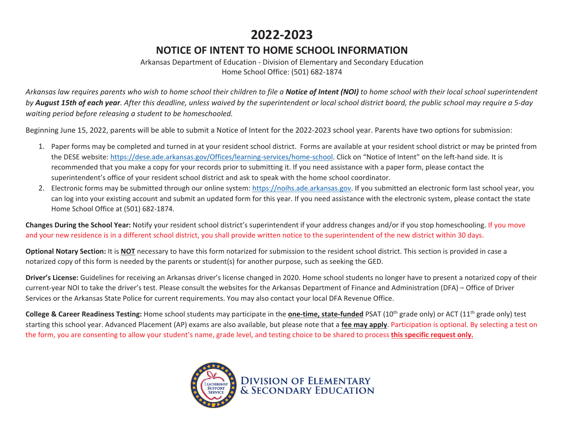## **2022-2023**

## **NOTICE OF INTENT TO HOME SCHOOL INFORMATION**

Arkansas Department of Education - Division of Elementary and Secondary Education Home School Office: (501) 682-1874

*Arkansas law requires parents who wish to home school their children to file a Notice of Intent (NOI) to home school with their local school superintendent by August 15th of each year. After this deadline, unless waived by the superintendent or local school district board, the public school may require a 5-day waiting period before releasing a student to be homeschooled.* 

Beginning June 15, 2022, parents will be able to submit a Notice of Intent for the 2022-2023 school year. Parents have two options for submission:

- 1. Paper forms may be completed and turned in at your resident school district. Forms are available at your resident school district or may be printed from the DESE website: https://dese.ade.arkansas.gov/Offices/learning-services/home-school. Click on "Notice of Intent" on the left-hand side. It is recommended that you make a copy for your records prior to submitting it. If you need assistance with a paper form, please contact the superintendent's office of your resident school district and ask to speak with the home school coordinator.
- 2. Electronic forms may be submitted through our online system: https://noihs.ade.arkansas.gov. If you submitted an electronic form last school year, you can log into your existing account and submit an updated form for this year. If you need assistance with the electronic system, please contact the state Home School Office at (501) 682-1874.

**Changes During the School Year:** Notify your resident school district's superintendent if your address changes and/or if you stop homeschooling. If you move and your new residence is in a different school district, you shall provide written notice to the superintendent of the new district within 30 days.

**Optional Notary Section:** It is **NOT** necessary to have this form notarized for submission to the resident school district. This section is provided in case a notarized copy of this form is needed by the parents or student(s) for another purpose, such as seeking the GED.

**Driver's License:** Guidelines for receiving an Arkansas driver's license changed in 2020. Home school students no longer have to present a notarized copy of their current-year NOI to take the driver's test. Please consult the websites for the Arkansas Department of Finance and Administration (DFA) – Office of Driver Services or the Arkansas State Police for current requirements. You may also contact your local DFA Revenue Office.

**College & Career Readiness Testing:** Home school students may participate in the **one-time, state-funded** PSAT (10<sup>th</sup> grade only) or ACT (11<sup>th</sup> grade only) test starting this school year. Advanced Placement (AP) exams are also available, but please note that a **fee may apply**. Participation is optional. By selecting a test on the form, you are consenting to allow your student's name, grade level, and testing choice to be shared to process **this specific request only.**